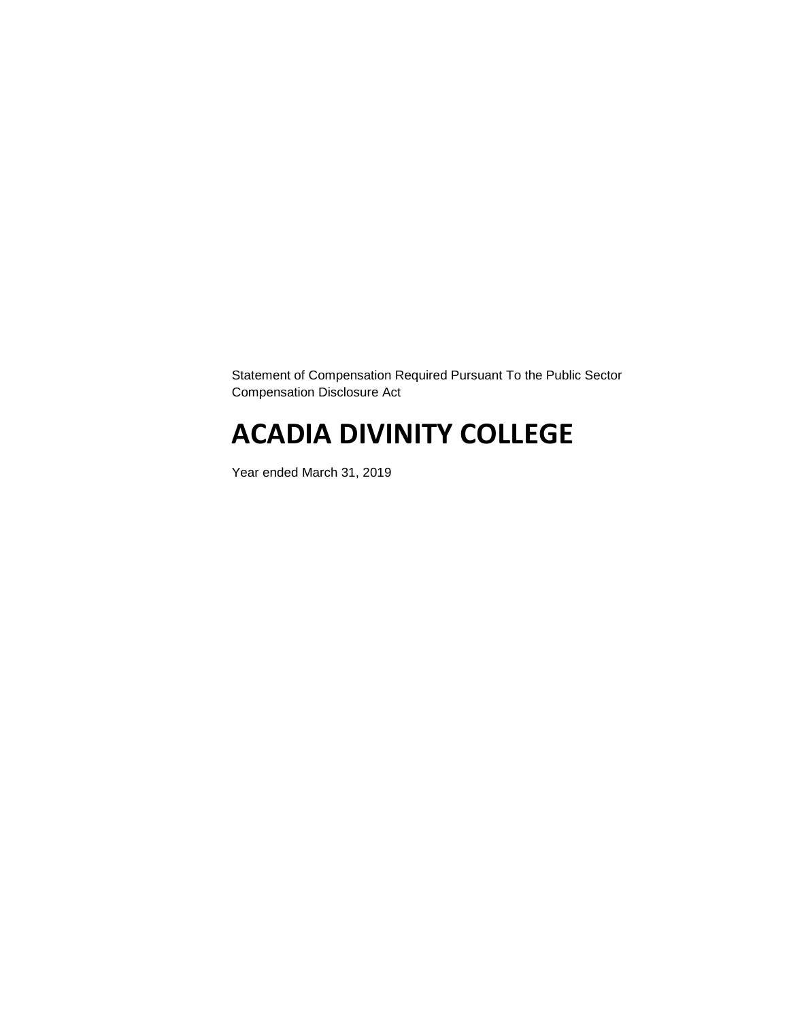Statement of Compensation Required Pursuant To the Public Sector Compensation Disclosure Act

# **ACADIA DIVINITY COLLEGE**

Year ended March 31, 2019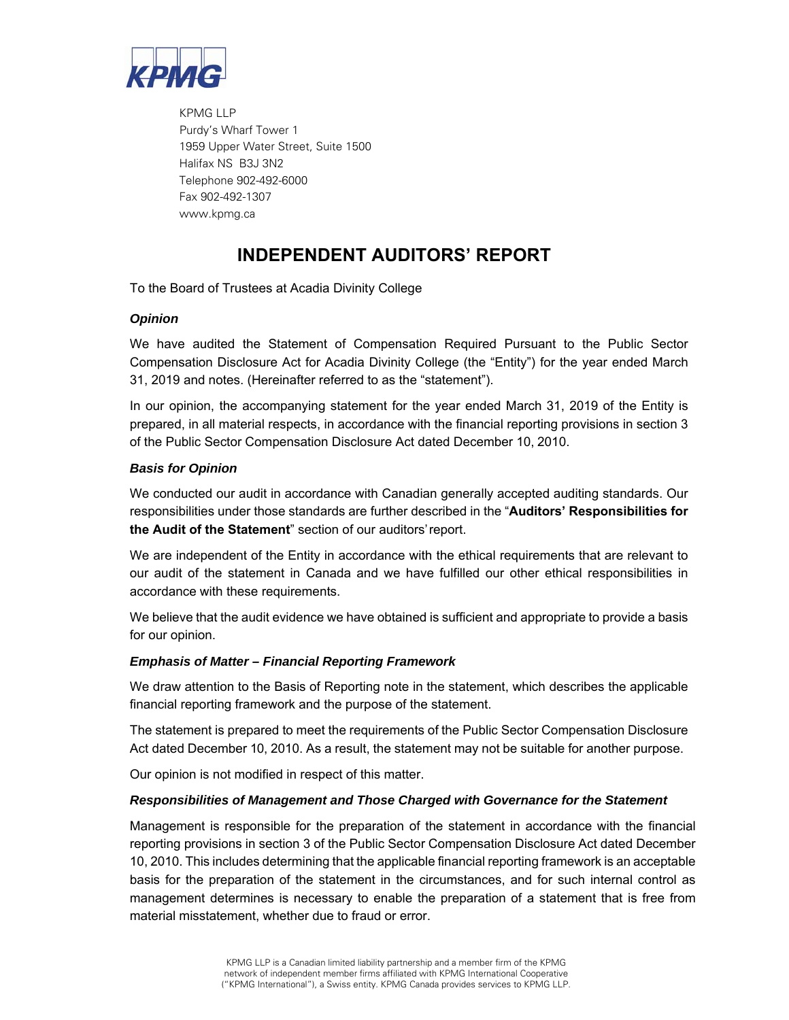

 KPMG LLP Purdy's Wharf Tower 1 1959 Upper Water Street, Suite 1500 Halifax NS B3J 3N2 Telephone 902-492-6000 Fax 902-492-1307 www.kpmg.ca

### **INDEPENDENT AUDITORS' REPORT**

To the Board of Trustees at Acadia Divinity College

### *Opinion*

We have audited the Statement of Compensation Required Pursuant to the Public Sector Compensation Disclosure Act for Acadia Divinity College (the "Entity") for the year ended March 31, 2019 and notes. (Hereinafter referred to as the "statement").

In our opinion, the accompanying statement for the year ended March 31, 2019 of the Entity is prepared, in all material respects, in accordance with the financial reporting provisions in section 3 of the Public Sector Compensation Disclosure Act dated December 10, 2010.

### *Basis for Opinion*

We conducted our audit in accordance with Canadian generally accepted auditing standards. Our responsibilities under those standards are further described in the "**Auditors' Responsibilities for the Audit of the Statement**" section of our auditors' report.

We are independent of the Entity in accordance with the ethical requirements that are relevant to our audit of the statement in Canada and we have fulfilled our other ethical responsibilities in accordance with these requirements.

We believe that the audit evidence we have obtained is sufficient and appropriate to provide a basis for our opinion.

#### *Emphasis of Matter – Financial Reporting Framework*

We draw attention to the Basis of Reporting note in the statement, which describes the applicable financial reporting framework and the purpose of the statement.

The statement is prepared to meet the requirements of the Public Sector Compensation Disclosure Act dated December 10, 2010. As a result, the statement may not be suitable for another purpose.

Our opinion is not modified in respect of this matter.

#### *Responsibilities of Management and Those Charged with Governance for the Statement*

Management is responsible for the preparation of the statement in accordance with the financial reporting provisions in section 3 of the Public Sector Compensation Disclosure Act dated December 10, 2010. This includes determining that the applicable financial reporting framework is an acceptable basis for the preparation of the statement in the circumstances, and for such internal control as management determines is necessary to enable the preparation of a statement that is free from material misstatement, whether due to fraud or error.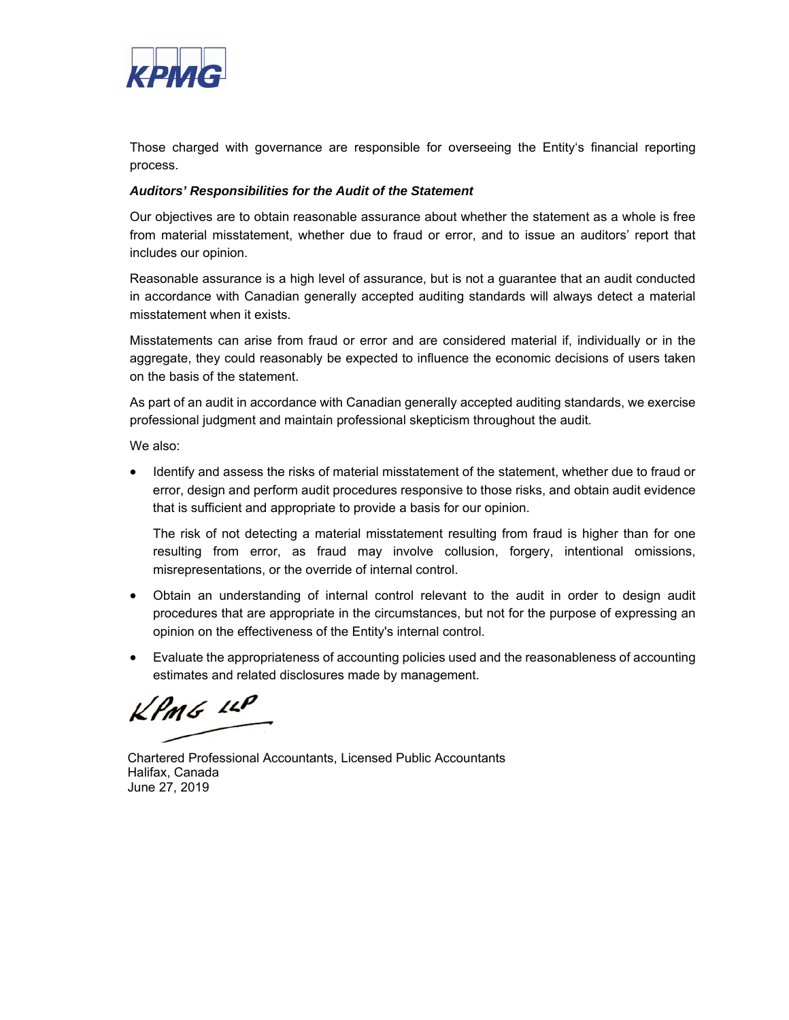

Those charged with governance are responsible for overseeing the Entity's financial reporting process.

### *Auditors' Responsibilities for the Audit of the Statement*

Our objectives are to obtain reasonable assurance about whether the statement as a whole is free from material misstatement, whether due to fraud or error, and to issue an auditors' report that includes our opinion.

Reasonable assurance is a high level of assurance, but is not a guarantee that an audit conducted in accordance with Canadian generally accepted auditing standards will always detect a material misstatement when it exists.

Misstatements can arise from fraud or error and are considered material if, individually or in the aggregate, they could reasonably be expected to influence the economic decisions of users taken on the basis of the statement.

As part of an audit in accordance with Canadian generally accepted auditing standards, we exercise professional judgment and maintain professional skepticism throughout the audit.

We also:

 Identify and assess the risks of material misstatement of the statement, whether due to fraud or error, design and perform audit procedures responsive to those risks, and obtain audit evidence that is sufficient and appropriate to provide a basis for our opinion.

The risk of not detecting a material misstatement resulting from fraud is higher than for one resulting from error, as fraud may involve collusion, forgery, intentional omissions, misrepresentations, or the override of internal control.

- Obtain an understanding of internal control relevant to the audit in order to design audit procedures that are appropriate in the circumstances, but not for the purpose of expressing an opinion on the effectiveness of the Entity's internal control.
- Evaluate the appropriateness of accounting policies used and the reasonableness of accounting estimates and related disclosures made by management.

 $k$ *PMG*  $\mu$ 

Chartered Professional Accountants, Licensed Public Accountants Halifax, Canada June 27, 2019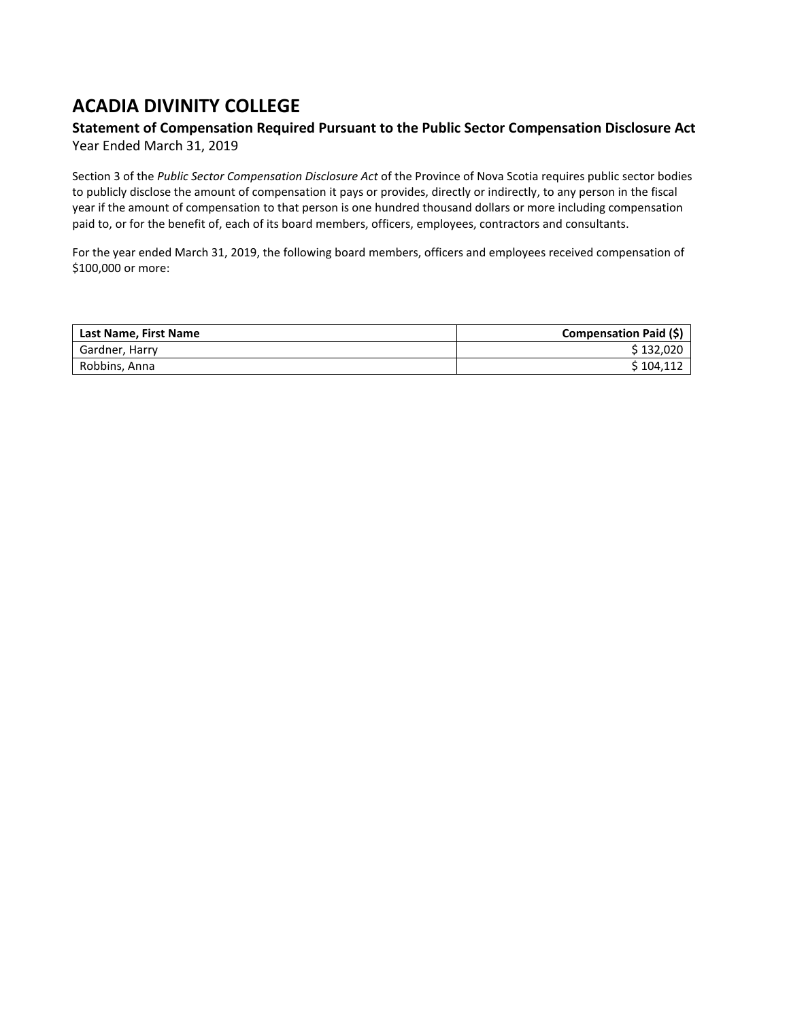### **ACADIA DIVINITY COLLEGE**

## **Statement of Compensation Required Pursuant to the Public Sector Compensation Disclosure Act**

Year Ended March 31, 2019

Section 3 of the *Public Sector Compensation Disclosure Act* of the Province of Nova Scotia requires public sector bodies to publicly disclose the amount of compensation it pays or provides, directly or indirectly, to any person in the fiscal year if the amount of compensation to that person is one hundred thousand dollars or more including compensation paid to, or for the benefit of, each of its board members, officers, employees, contractors and consultants.

For the year ended March 31, 2019, the following board members, officers and employees received compensation of \$100,000 or more:

| Last Name, First Name | Compensation Paid (\$) |
|-----------------------|------------------------|
| Gardner, Harry        | \$ 132.020             |
| Robbins, Anna         | S 104.112              |